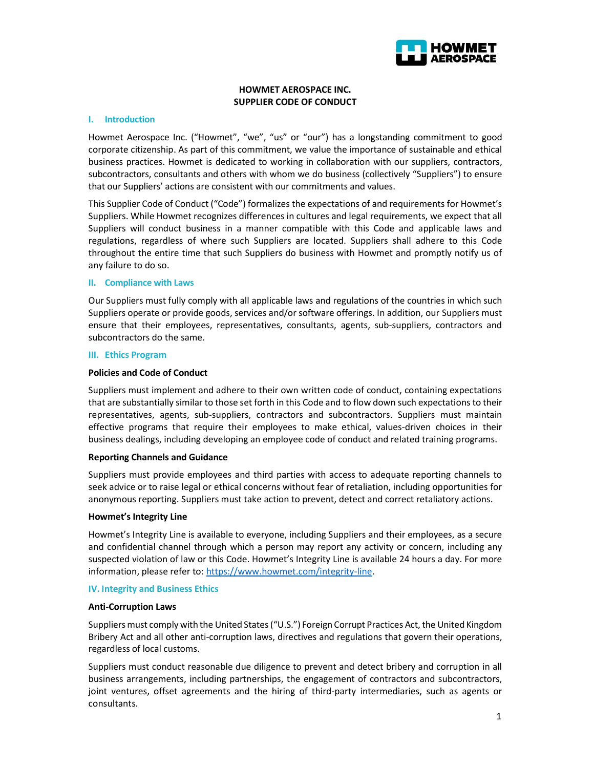

# HOWMET AEROSPACE INC. SUPPLIER CODE OF CONDUCT

### I. Introduction

Howmet Aerospace Inc. ("Howmet", "we", "us" or "our") has a longstanding commitment to good corporate citizenship. As part of this commitment, we value the importance of sustainable and ethical business practices. Howmet is dedicated to working in collaboration with our suppliers, contractors, subcontractors, consultants and others with whom we do business (collectively "Suppliers") to ensure that our Suppliers' actions are consistent with our commitments and values.

This Supplier Code of Conduct ("Code") formalizes the expectations of and requirements for Howmet's Suppliers. While Howmet recognizes differences in cultures and legal requirements, we expect that all Suppliers will conduct business in a manner compatible with this Code and applicable laws and regulations, regardless of where such Suppliers are located. Suppliers shall adhere to this Code throughout the entire time that such Suppliers do business with Howmet and promptly notify us of any failure to do so.

## II. Compliance with Laws

Our Suppliers must fully comply with all applicable laws and regulations of the countries in which such Suppliers operate or provide goods, services and/or software offerings. In addition, our Suppliers must ensure that their employees, representatives, consultants, agents, sub-suppliers, contractors and subcontractors do the same.

### III. Ethics Program

## Policies and Code of Conduct

Suppliers must implement and adhere to their own written code of conduct, containing expectations that are substantially similar to those set forth in this Code and to flow down such expectations to their representatives, agents, sub-suppliers, contractors and subcontractors. Suppliers must maintain effective programs that require their employees to make ethical, values-driven choices in their business dealings, including developing an employee code of conduct and related training programs.

### Reporting Channels and Guidance

Suppliers must provide employees and third parties with access to adequate reporting channels to seek advice or to raise legal or ethical concerns without fear of retaliation, including opportunities for anonymous reporting. Suppliers must take action to prevent, detect and correct retaliatory actions.

### Howmet's Integrity Line

Howmet's Integrity Line is available to everyone, including Suppliers and their employees, as a secure and confidential channel through which a person may report any activity or concern, including any suspected violation of law or this Code. Howmet's Integrity Line is available 24 hours a day. For more information, please refer to: https://www.howmet.com/integrity-line.

### IV. Integrity and Business Ethics

### Anti-Corruption Laws

Suppliers must comply with the United States ("U.S.") Foreign Corrupt Practices Act, the United Kingdom Bribery Act and all other anti-corruption laws, directives and regulations that govern their operations, regardless of local customs.

Suppliers must conduct reasonable due diligence to prevent and detect bribery and corruption in all business arrangements, including partnerships, the engagement of contractors and subcontractors, joint ventures, offset agreements and the hiring of third-party intermediaries, such as agents or consultants.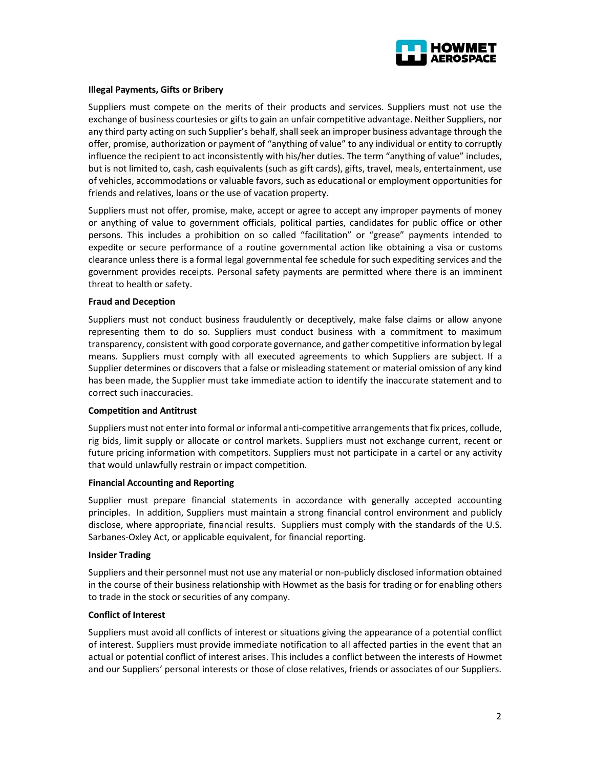

# Illegal Payments, Gifts or Bribery

Suppliers must compete on the merits of their products and services. Suppliers must not use the exchange of business courtesies or gifts to gain an unfair competitive advantage. Neither Suppliers, nor any third party acting on such Supplier's behalf, shall seek an improper business advantage through the offer, promise, authorization or payment of "anything of value" to any individual or entity to corruptly influence the recipient to act inconsistently with his/her duties. The term "anything of value" includes, but is not limited to, cash, cash equivalents (such as gift cards), gifts, travel, meals, entertainment, use of vehicles, accommodations or valuable favors, such as educational or employment opportunities for friends and relatives, loans or the use of vacation property.

Suppliers must not offer, promise, make, accept or agree to accept any improper payments of money or anything of value to government officials, political parties, candidates for public office or other persons. This includes a prohibition on so called "facilitation" or "grease" payments intended to expedite or secure performance of a routine governmental action like obtaining a visa or customs clearance unless there is a formal legal governmental fee schedule for such expediting services and the government provides receipts. Personal safety payments are permitted where there is an imminent threat to health or safety.

### Fraud and Deception

Suppliers must not conduct business fraudulently or deceptively, make false claims or allow anyone representing them to do so. Suppliers must conduct business with a commitment to maximum transparency, consistent with good corporate governance, and gather competitive information by legal means. Suppliers must comply with all executed agreements to which Suppliers are subject. If a Supplier determines or discovers that a false or misleading statement or material omission of any kind has been made, the Supplier must take immediate action to identify the inaccurate statement and to correct such inaccuracies.

### Competition and Antitrust

Suppliers must not enter into formal or informal anti-competitive arrangements that fix prices, collude, rig bids, limit supply or allocate or control markets. Suppliers must not exchange current, recent or future pricing information with competitors. Suppliers must not participate in a cartel or any activity that would unlawfully restrain or impact competition.

### Financial Accounting and Reporting

Supplier must prepare financial statements in accordance with generally accepted accounting principles. In addition, Suppliers must maintain a strong financial control environment and publicly disclose, where appropriate, financial results. Suppliers must comply with the standards of the U.S. Sarbanes-Oxley Act, or applicable equivalent, for financial reporting.

### Insider Trading

Suppliers and their personnel must not use any material or non-publicly disclosed information obtained in the course of their business relationship with Howmet as the basis for trading or for enabling others to trade in the stock or securities of any company.

## Conflict of Interest

Suppliers must avoid all conflicts of interest or situations giving the appearance of a potential conflict of interest. Suppliers must provide immediate notification to all affected parties in the event that an actual or potential conflict of interest arises. This includes a conflict between the interests of Howmet and our Suppliers' personal interests or those of close relatives, friends or associates of our Suppliers.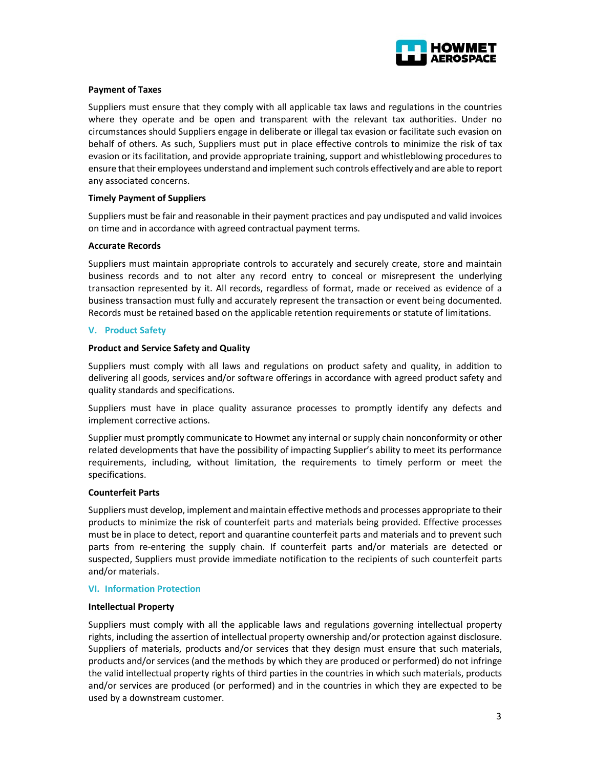

# Payment of Taxes

Suppliers must ensure that they comply with all applicable tax laws and regulations in the countries where they operate and be open and transparent with the relevant tax authorities. Under no circumstances should Suppliers engage in deliberate or illegal tax evasion or facilitate such evasion on behalf of others. As such, Suppliers must put in place effective controls to minimize the risk of tax evasion or its facilitation, and provide appropriate training, support and whistleblowing procedures to ensure that their employees understand and implement such controls effectively and are able to report any associated concerns.

# Timely Payment of Suppliers

Suppliers must be fair and reasonable in their payment practices and pay undisputed and valid invoices on time and in accordance with agreed contractual payment terms.

## Accurate Records

Suppliers must maintain appropriate controls to accurately and securely create, store and maintain business records and to not alter any record entry to conceal or misrepresent the underlying transaction represented by it. All records, regardless of format, made or received as evidence of a business transaction must fully and accurately represent the transaction or event being documented. Records must be retained based on the applicable retention requirements or statute of limitations.

# V. Product Safety

## Product and Service Safety and Quality

Suppliers must comply with all laws and regulations on product safety and quality, in addition to delivering all goods, services and/or software offerings in accordance with agreed product safety and quality standards and specifications.

Suppliers must have in place quality assurance processes to promptly identify any defects and implement corrective actions.

Supplier must promptly communicate to Howmet any internal or supply chain nonconformity or other related developments that have the possibility of impacting Supplier's ability to meet its performance requirements, including, without limitation, the requirements to timely perform or meet the specifications.

### Counterfeit Parts

Suppliers must develop, implement and maintain effective methods and processes appropriate to their products to minimize the risk of counterfeit parts and materials being provided. Effective processes must be in place to detect, report and quarantine counterfeit parts and materials and to prevent such parts from re-entering the supply chain. If counterfeit parts and/or materials are detected or suspected, Suppliers must provide immediate notification to the recipients of such counterfeit parts and/or materials.

### VI. Information Protection

### Intellectual Property

Suppliers must comply with all the applicable laws and regulations governing intellectual property rights, including the assertion of intellectual property ownership and/or protection against disclosure. Suppliers of materials, products and/or services that they design must ensure that such materials, products and/or services (and the methods by which they are produced or performed) do not infringe the valid intellectual property rights of third parties in the countries in which such materials, products and/or services are produced (or performed) and in the countries in which they are expected to be used by a downstream customer.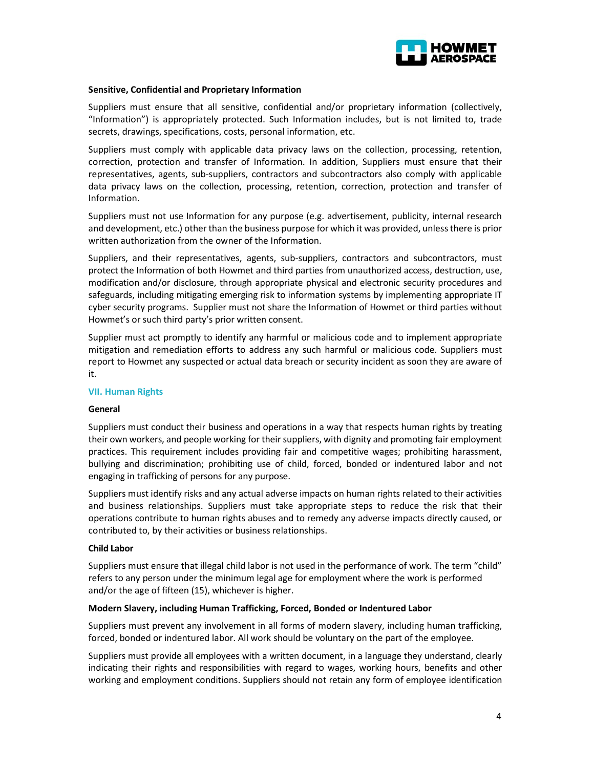

## Sensitive, Confidential and Proprietary Information

Suppliers must ensure that all sensitive, confidential and/or proprietary information (collectively, "Information") is appropriately protected. Such Information includes, but is not limited to, trade secrets, drawings, specifications, costs, personal information, etc.

Suppliers must comply with applicable data privacy laws on the collection, processing, retention, correction, protection and transfer of Information. In addition, Suppliers must ensure that their representatives, agents, sub-suppliers, contractors and subcontractors also comply with applicable data privacy laws on the collection, processing, retention, correction, protection and transfer of Information.

Suppliers must not use Information for any purpose (e.g. advertisement, publicity, internal research and development, etc.) other than the business purpose for which it was provided, unless there is prior written authorization from the owner of the Information.

Suppliers, and their representatives, agents, sub-suppliers, contractors and subcontractors, must protect the Information of both Howmet and third parties from unauthorized access, destruction, use, modification and/or disclosure, through appropriate physical and electronic security procedures and safeguards, including mitigating emerging risk to information systems by implementing appropriate IT cyber security programs. Supplier must not share the Information of Howmet or third parties without Howmet's or such third party's prior written consent.

Supplier must act promptly to identify any harmful or malicious code and to implement appropriate mitigation and remediation efforts to address any such harmful or malicious code. Suppliers must report to Howmet any suspected or actual data breach or security incident as soon they are aware of it.

### VII. Human Rights

### General

Suppliers must conduct their business and operations in a way that respects human rights by treating their own workers, and people working for their suppliers, with dignity and promoting fair employment practices. This requirement includes providing fair and competitive wages; prohibiting harassment, bullying and discrimination; prohibiting use of child, forced, bonded or indentured labor and not engaging in trafficking of persons for any purpose.

Suppliers must identify risks and any actual adverse impacts on human rights related to their activities and business relationships. Suppliers must take appropriate steps to reduce the risk that their operations contribute to human rights abuses and to remedy any adverse impacts directly caused, or contributed to, by their activities or business relationships.

#### Child Labor

Suppliers must ensure that illegal child labor is not used in the performance of work. The term "child" refers to any person under the minimum legal age for employment where the work is performed and/or the age of fifteen (15), whichever is higher.

### Modern Slavery, including Human Trafficking, Forced, Bonded or Indentured Labor

Suppliers must prevent any involvement in all forms of modern slavery, including human trafficking, forced, bonded or indentured labor. All work should be voluntary on the part of the employee.

Suppliers must provide all employees with a written document, in a language they understand, clearly indicating their rights and responsibilities with regard to wages, working hours, benefits and other working and employment conditions. Suppliers should not retain any form of employee identification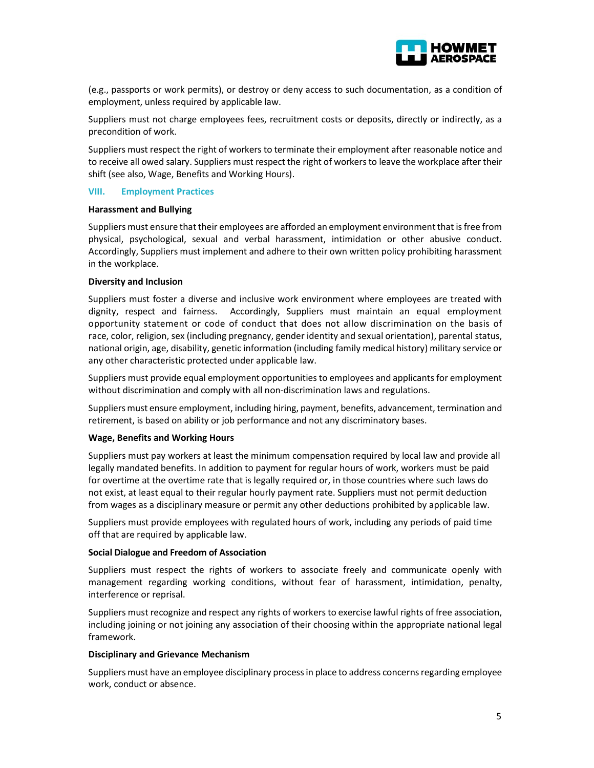

(e.g., passports or work permits), or destroy or deny access to such documentation, as a condition of employment, unless required by applicable law.

Suppliers must not charge employees fees, recruitment costs or deposits, directly or indirectly, as a precondition of work.

Suppliers must respect the right of workers to terminate their employment after reasonable notice and to receive all owed salary. Suppliers must respect the right of workers to leave the workplace after their shift (see also, Wage, Benefits and Working Hours).

### VIII. Employment Practices

### Harassment and Bullying

Suppliers must ensure that their employees are afforded an employment environment that is free from physical, psychological, sexual and verbal harassment, intimidation or other abusive conduct. Accordingly, Suppliers must implement and adhere to their own written policy prohibiting harassment in the workplace.

## Diversity and Inclusion

Suppliers must foster a diverse and inclusive work environment where employees are treated with dignity, respect and fairness. Accordingly, Suppliers must maintain an equal employment opportunity statement or code of conduct that does not allow discrimination on the basis of race, color, religion, sex (including pregnancy, gender identity and sexual orientation), parental status, national origin, age, disability, genetic information (including family medical history) military service or any other characteristic protected under applicable law.

Suppliers must provide equal employment opportunities to employees and applicants for employment without discrimination and comply with all non-discrimination laws and regulations.

Suppliers must ensure employment, including hiring, payment, benefits, advancement, termination and retirement, is based on ability or job performance and not any discriminatory bases.

### Wage, Benefits and Working Hours

Suppliers must pay workers at least the minimum compensation required by local law and provide all legally mandated benefits. In addition to payment for regular hours of work, workers must be paid for overtime at the overtime rate that is legally required or, in those countries where such laws do not exist, at least equal to their regular hourly payment rate. Suppliers must not permit deduction from wages as a disciplinary measure or permit any other deductions prohibited by applicable law.

Suppliers must provide employees with regulated hours of work, including any periods of paid time off that are required by applicable law.

### Social Dialogue and Freedom of Association

Suppliers must respect the rights of workers to associate freely and communicate openly with management regarding working conditions, without fear of harassment, intimidation, penalty, interference or reprisal.

Suppliers must recognize and respect any rights of workers to exercise lawful rights of free association, including joining or not joining any association of their choosing within the appropriate national legal framework.

### Disciplinary and Grievance Mechanism

Suppliers must have an employee disciplinary process in place to address concerns regarding employee work, conduct or absence.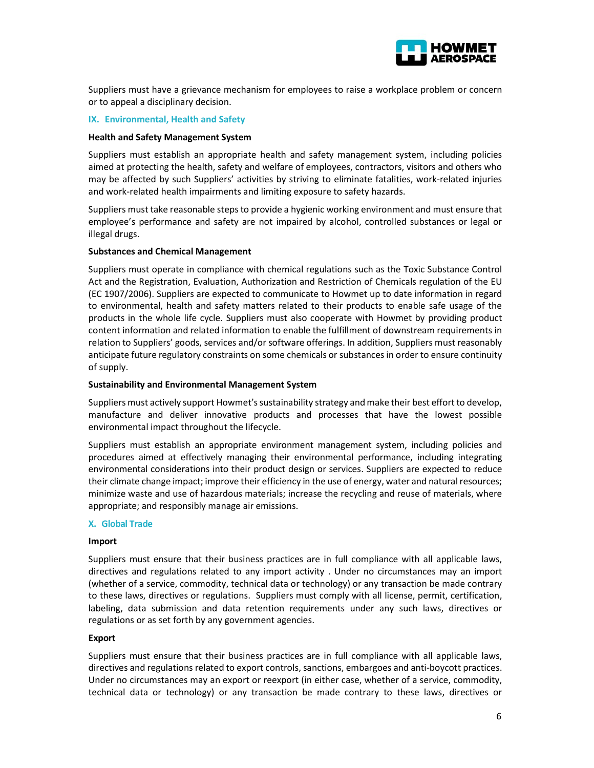

Suppliers must have a grievance mechanism for employees to raise a workplace problem or concern or to appeal a disciplinary decision.

## IX. Environmental, Health and Safety

### Health and Safety Management System

Suppliers must establish an appropriate health and safety management system, including policies aimed at protecting the health, safety and welfare of employees, contractors, visitors and others who may be affected by such Suppliers' activities by striving to eliminate fatalities, work-related injuries and work-related health impairments and limiting exposure to safety hazards.

Suppliers must take reasonable steps to provide a hygienic working environment and must ensure that employee's performance and safety are not impaired by alcohol, controlled substances or legal or illegal drugs.

## Substances and Chemical Management

Suppliers must operate in compliance with chemical regulations such as the Toxic Substance Control Act and the Registration, Evaluation, Authorization and Restriction of Chemicals regulation of the EU (EC 1907/2006). Suppliers are expected to communicate to Howmet up to date information in regard to environmental, health and safety matters related to their products to enable safe usage of the products in the whole life cycle. Suppliers must also cooperate with Howmet by providing product content information and related information to enable the fulfillment of downstream requirements in relation to Suppliers' goods, services and/or software offerings. In addition, Suppliers must reasonably anticipate future regulatory constraints on some chemicals or substances in order to ensure continuity of supply.

### Sustainability and Environmental Management System

Suppliers must actively support Howmet's sustainability strategy and make their best effort to develop, manufacture and deliver innovative products and processes that have the lowest possible environmental impact throughout the lifecycle.

Suppliers must establish an appropriate environment management system, including policies and procedures aimed at effectively managing their environmental performance, including integrating environmental considerations into their product design or services. Suppliers are expected to reduce their climate change impact; improve their efficiency in the use of energy, water and natural resources; minimize waste and use of hazardous materials; increase the recycling and reuse of materials, where appropriate; and responsibly manage air emissions.

### X. Global Trade

### Import

Suppliers must ensure that their business practices are in full compliance with all applicable laws, directives and regulations related to any import activity . Under no circumstances may an import (whether of a service, commodity, technical data or technology) or any transaction be made contrary to these laws, directives or regulations. Suppliers must comply with all license, permit, certification, labeling, data submission and data retention requirements under any such laws, directives or regulations or as set forth by any government agencies.

### Export

Suppliers must ensure that their business practices are in full compliance with all applicable laws, directives and regulations related to export controls, sanctions, embargoes and anti-boycott practices. Under no circumstances may an export or reexport (in either case, whether of a service, commodity, technical data or technology) or any transaction be made contrary to these laws, directives or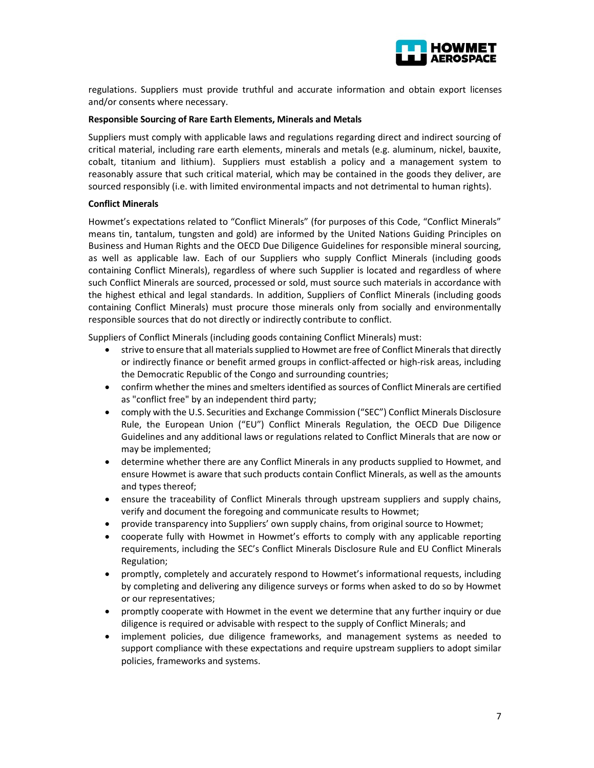

regulations. Suppliers must provide truthful and accurate information and obtain export licenses and/or consents where necessary.

## Responsible Sourcing of Rare Earth Elements, Minerals and Metals

Suppliers must comply with applicable laws and regulations regarding direct and indirect sourcing of critical material, including rare earth elements, minerals and metals (e.g. aluminum, nickel, bauxite, cobalt, titanium and lithium). Suppliers must establish a policy and a management system to reasonably assure that such critical material, which may be contained in the goods they deliver, are sourced responsibly (i.e. with limited environmental impacts and not detrimental to human rights).

## Conflict Minerals

Howmet's expectations related to "Conflict Minerals" (for purposes of this Code, "Conflict Minerals" means tin, tantalum, tungsten and gold) are informed by the United Nations Guiding Principles on Business and Human Rights and the OECD Due Diligence Guidelines for responsible mineral sourcing, as well as applicable law. Each of our Suppliers who supply Conflict Minerals (including goods containing Conflict Minerals), regardless of where such Supplier is located and regardless of where such Conflict Minerals are sourced, processed or sold, must source such materials in accordance with the highest ethical and legal standards. In addition, Suppliers of Conflict Minerals (including goods containing Conflict Minerals) must procure those minerals only from socially and environmentally responsible sources that do not directly or indirectly contribute to conflict.

Suppliers of Conflict Minerals (including goods containing Conflict Minerals) must:

- strive to ensure that all materials supplied to Howmet are free of Conflict Minerals that directly or indirectly finance or benefit armed groups in conflict-affected or high-risk areas, including the Democratic Republic of the Congo and surrounding countries;
- confirm whether the mines and smelters identified as sources of Conflict Minerals are certified as "conflict free" by an independent third party;
- comply with the U.S. Securities and Exchange Commission ("SEC") Conflict Minerals Disclosure Rule, the European Union ("EU") Conflict Minerals Regulation, the OECD Due Diligence Guidelines and any additional laws or regulations related to Conflict Minerals that are now or may be implemented;
- determine whether there are any Conflict Minerals in any products supplied to Howmet, and ensure Howmet is aware that such products contain Conflict Minerals, as well as the amounts and types thereof;
- ensure the traceability of Conflict Minerals through upstream suppliers and supply chains, verify and document the foregoing and communicate results to Howmet;
- provide transparency into Suppliers' own supply chains, from original source to Howmet;
- cooperate fully with Howmet in Howmet's efforts to comply with any applicable reporting requirements, including the SEC's Conflict Minerals Disclosure Rule and EU Conflict Minerals Regulation;
- promptly, completely and accurately respond to Howmet's informational requests, including by completing and delivering any diligence surveys or forms when asked to do so by Howmet or our representatives;
- promptly cooperate with Howmet in the event we determine that any further inquiry or due diligence is required or advisable with respect to the supply of Conflict Minerals; and
- implement policies, due diligence frameworks, and management systems as needed to support compliance with these expectations and require upstream suppliers to adopt similar policies, frameworks and systems.